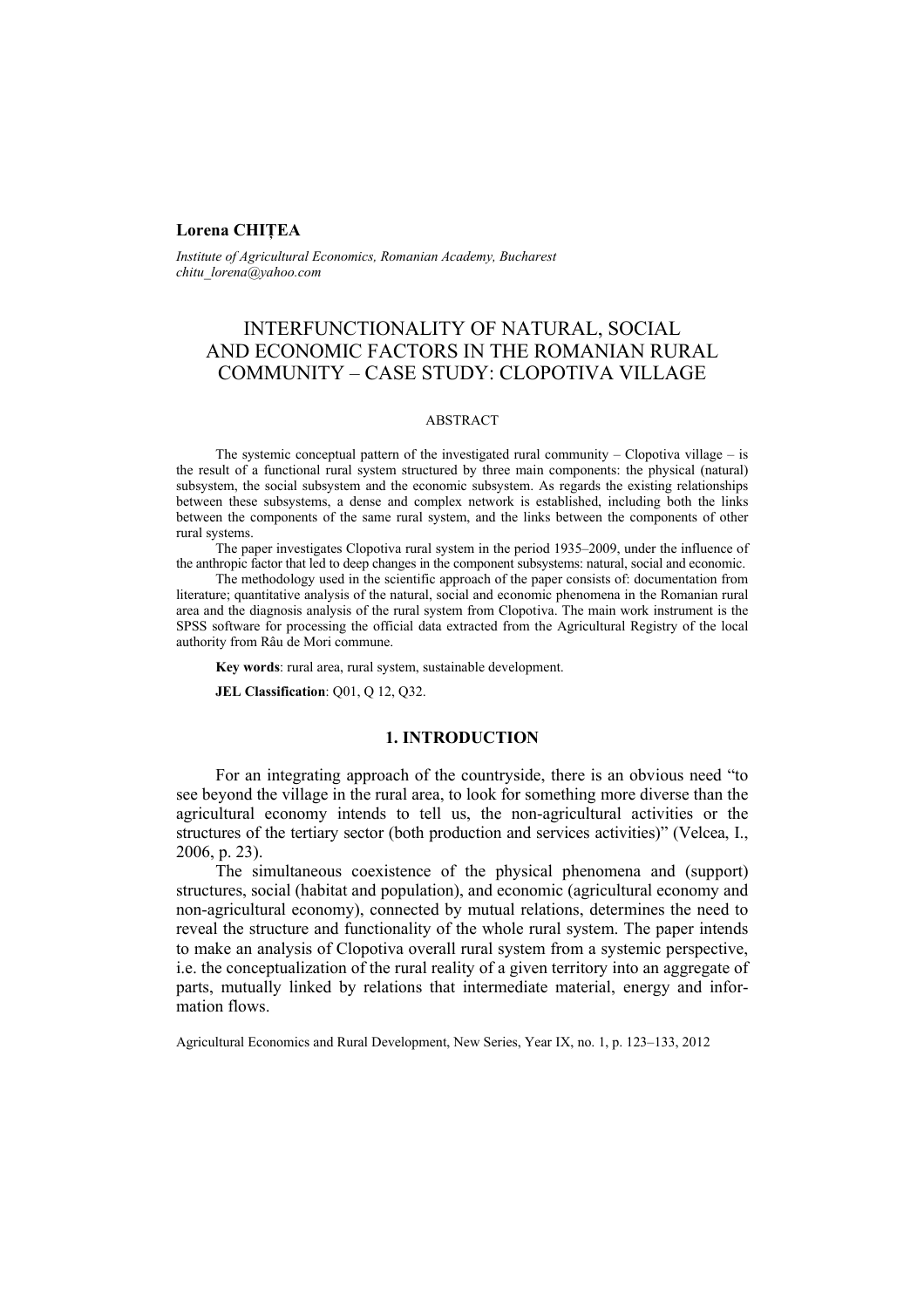## **Lorena CHIŢEA**

*Institute of Agricultural Economics, Romanian Academy, Bucharest chitu\_lorena@yahoo.com*

# INTERFUNCTIONALITY OF NATURAL, SOCIAL AND ECONOMIC FACTORS IN THE ROMANIAN RURAL COMMUNITY – CASE STUDY: CLOPOTIVA VILLAGE

## ABSTRACT

The systemic conceptual pattern of the investigated rural community – Clopotiva village – is the result of a functional rural system structured by three main components: the physical (natural) subsystem, the social subsystem and the economic subsystem. As regards the existing relationships between these subsystems, a dense and complex network is established, including both the links between the components of the same rural system, and the links between the components of other rural systems.

The paper investigates Clopotiva rural system in the period 1935–2009, under the influence of the anthropic factor that led to deep changes in the component subsystems: natural, social and economic.

The methodology used in the scientific approach of the paper consists of: documentation from literature; quantitative analysis of the natural, social and economic phenomena in the Romanian rural area and the diagnosis analysis of the rural system from Clopotiva. The main work instrument is the SPSS software for processing the official data extracted from the Agricultural Registry of the local authority from Râu de Mori commune.

**Key words**: rural area, rural system, sustainable development.

**JEL Classification**: Q01, Q 12, Q32.

#### **1. INTRODUCTION**

For an integrating approach of the countryside, there is an obvious need "to see beyond the village in the rural area, to look for something more diverse than the agricultural economy intends to tell us, the non-agricultural activities or the structures of the tertiary sector (both production and services activities)" (Velcea, I., 2006, p. 23).

The simultaneous coexistence of the physical phenomena and (support) structures, social (habitat and population), and economic (agricultural economy and non-agricultural economy), connected by mutual relations, determines the need to reveal the structure and functionality of the whole rural system. The paper intends to make an analysis of Clopotiva overall rural system from a systemic perspective, i.e. the conceptualization of the rural reality of a given territory into an aggregate of parts, mutually linked by relations that intermediate material, energy and information flows.

Agricultural Economics and Rural Development, New Series, Year IX, no. 1, p. 123–133, 2012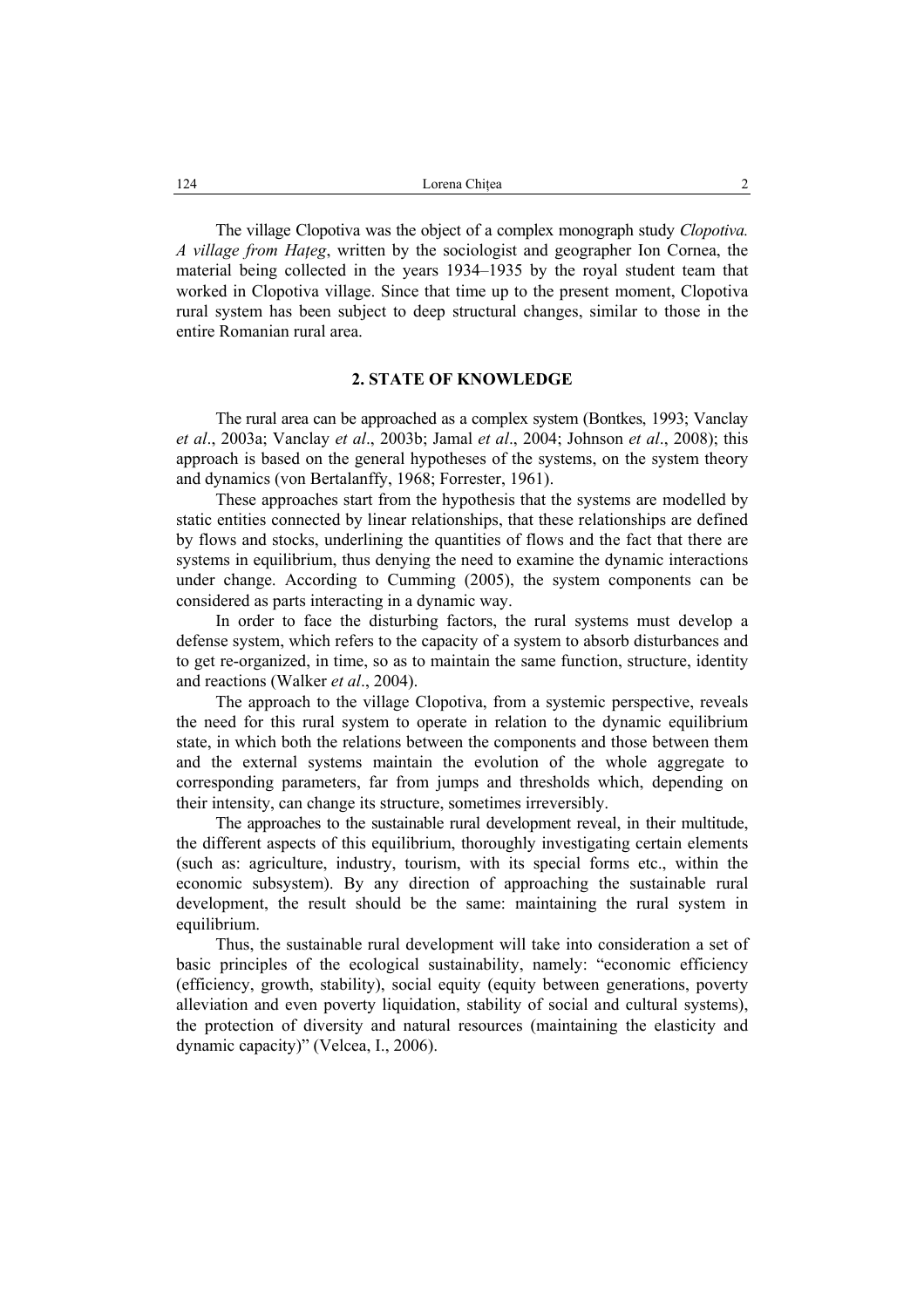The village Clopotiva was the object of a complex monograph study *Clopotiva. A village from Haţeg*, written by the sociologist and geographer Ion Cornea, the material being collected in the years 1934–1935 by the royal student team that worked in Clopotiva village. Since that time up to the present moment, Clopotiva rural system has been subject to deep structural changes, similar to those in the entire Romanian rural area.

### **2. STATE OF KNOWLEDGE**

The rural area can be approached as a complex system (Bontkes, 1993; Vanclay *et al*., 2003a; Vanclay *et al*., 2003b; Jamal *et al*., 2004; Johnson *et al*., 2008); this approach is based on the general hypotheses of the systems, on the system theory and dynamics (von Bertalanffy, 1968; Forrester, 1961).

These approaches start from the hypothesis that the systems are modelled by static entities connected by linear relationships, that these relationships are defined by flows and stocks, underlining the quantities of flows and the fact that there are systems in equilibrium, thus denying the need to examine the dynamic interactions under change. According to Cumming (2005), the system components can be considered as parts interacting in a dynamic way.

In order to face the disturbing factors, the rural systems must develop a defense system, which refers to the capacity of a system to absorb disturbances and to get re-organized, in time, so as to maintain the same function, structure, identity and reactions (Walker *et al*., 2004).

The approach to the village Clopotiva, from a systemic perspective, reveals the need for this rural system to operate in relation to the dynamic equilibrium state, in which both the relations between the components and those between them and the external systems maintain the evolution of the whole aggregate to corresponding parameters, far from jumps and thresholds which, depending on their intensity, can change its structure, sometimes irreversibly.

The approaches to the sustainable rural development reveal, in their multitude, the different aspects of this equilibrium, thoroughly investigating certain elements (such as: agriculture, industry, tourism, with its special forms etc., within the economic subsystem). By any direction of approaching the sustainable rural development, the result should be the same: maintaining the rural system in equilibrium.

Thus, the sustainable rural development will take into consideration a set of basic principles of the ecological sustainability, namely: "economic efficiency (efficiency, growth, stability), social equity (equity between generations, poverty alleviation and even poverty liquidation, stability of social and cultural systems), the protection of diversity and natural resources (maintaining the elasticity and dynamic capacity)" (Velcea, I., 2006).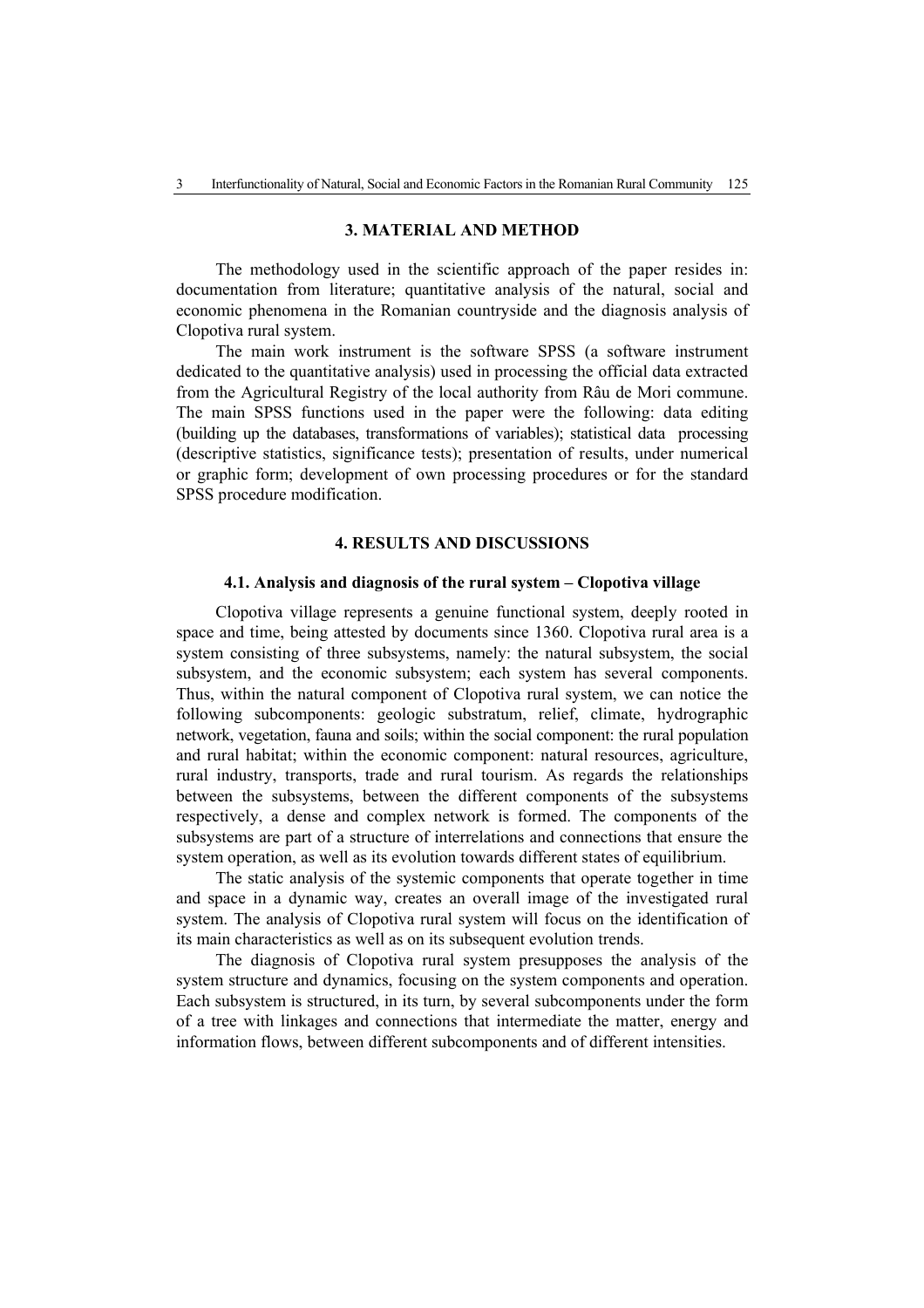### **3. MATERIAL AND METHOD**

The methodology used in the scientific approach of the paper resides in: documentation from literature; quantitative analysis of the natural, social and economic phenomena in the Romanian countryside and the diagnosis analysis of Clopotiva rural system.

The main work instrument is the software SPSS (a software instrument dedicated to the quantitative analysis) used in processing the official data extracted from the Agricultural Registry of the local authority from Râu de Mori commune. The main SPSS functions used in the paper were the following: data editing (building up the databases, transformations of variables); statistical data processing (descriptive statistics, significance tests); presentation of results, under numerical or graphic form; development of own processing procedures or for the standard SPSS procedure modification.

## **4. RESULTS AND DISCUSSIONS**

#### **4.1. Analysis and diagnosis of the rural system – Clopotiva village**

Clopotiva village represents a genuine functional system, deeply rooted in space and time, being attested by documents since 1360. Clopotiva rural area is a system consisting of three subsystems, namely: the natural subsystem, the social subsystem, and the economic subsystem; each system has several components. Thus, within the natural component of Clopotiva rural system, we can notice the following subcomponents: geologic substratum, relief, climate, hydrographic network, vegetation, fauna and soils; within the social component: the rural population and rural habitat; within the economic component: natural resources, agriculture, rural industry, transports, trade and rural tourism. As regards the relationships between the subsystems, between the different components of the subsystems respectively, a dense and complex network is formed. The components of the subsystems are part of a structure of interrelations and connections that ensure the system operation, as well as its evolution towards different states of equilibrium.

The static analysis of the systemic components that operate together in time and space in a dynamic way, creates an overall image of the investigated rural system. The analysis of Clopotiva rural system will focus on the identification of its main characteristics as well as on its subsequent evolution trends.

The diagnosis of Clopotiva rural system presupposes the analysis of the system structure and dynamics, focusing on the system components and operation. Each subsystem is structured, in its turn, by several subcomponents under the form of a tree with linkages and connections that intermediate the matter, energy and information flows, between different subcomponents and of different intensities.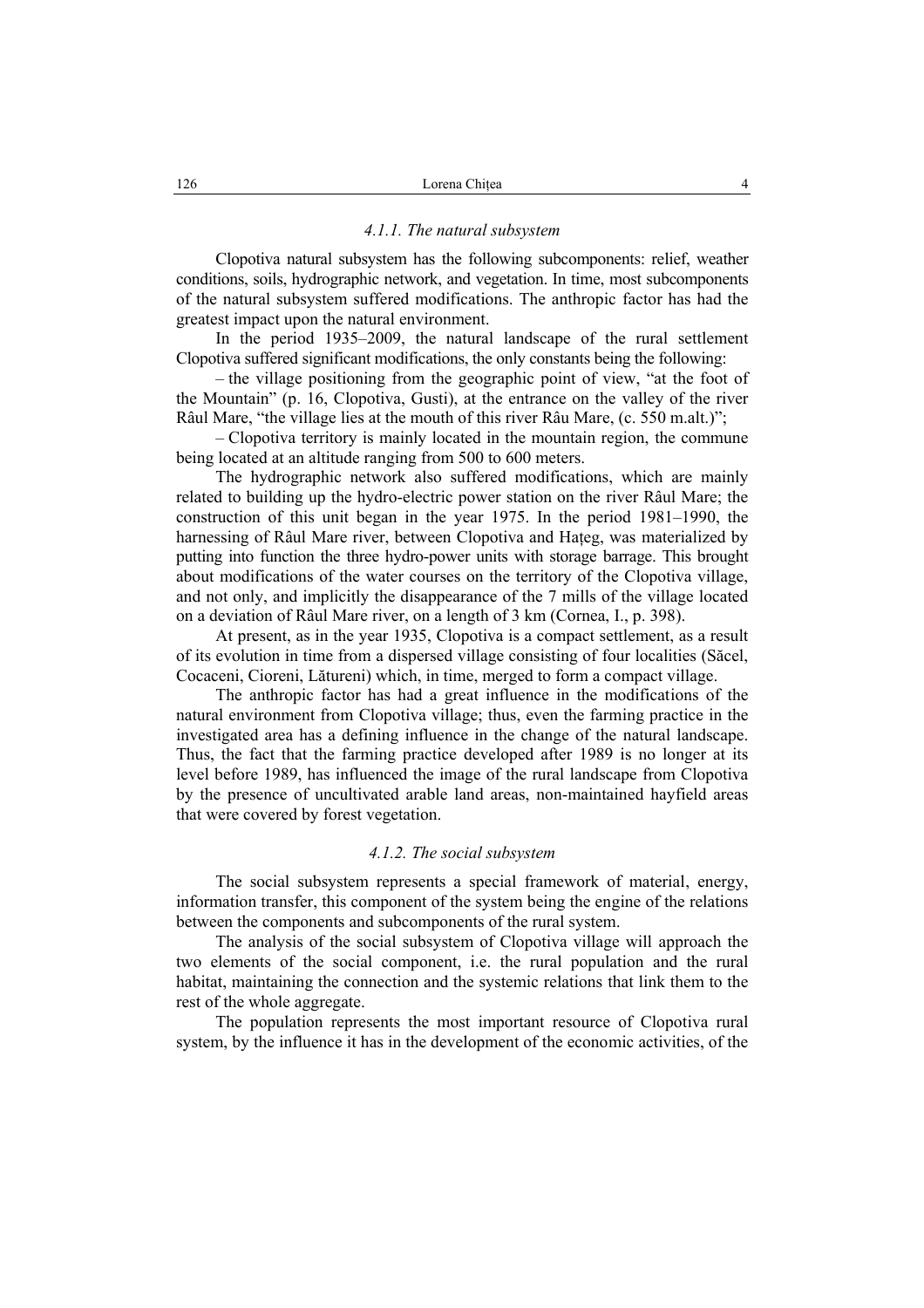#### *4.1.1. The natural subsystem*

Clopotiva natural subsystem has the following subcomponents: relief, weather conditions, soils, hydrographic network, and vegetation. In time, most subcomponents of the natural subsystem suffered modifications. The anthropic factor has had the greatest impact upon the natural environment.

In the period 1935–2009, the natural landscape of the rural settlement Clopotiva suffered significant modifications, the only constants being the following:

– the village positioning from the geographic point of view, "at the foot of the Mountain" (p. 16, Clopotiva, Gusti), at the entrance on the valley of the river Râul Mare, "the village lies at the mouth of this river Râu Mare, (c. 550 m.alt.)";

– Clopotiva territory is mainly located in the mountain region, the commune being located at an altitude ranging from 500 to 600 meters.

The hydrographic network also suffered modifications, which are mainly related to building up the hydro-electric power station on the river Râul Mare; the construction of this unit began in the year 1975. In the period 1981–1990, the harnessing of Râul Mare river, between Clopotiva and Hateg, was materialized by putting into function the three hydro-power units with storage barrage. This brought about modifications of the water courses on the territory of the Clopotiva village, and not only, and implicitly the disappearance of the 7 mills of the village located on a deviation of Râul Mare river, on a length of 3 km (Cornea, I., p. 398).

At present, as in the year 1935, Clopotiva is a compact settlement, as a result of its evolution in time from a dispersed village consisting of four localities (Săcel, Cocaceni, Cioreni, Lătureni) which, in time, merged to form a compact village.

The anthropic factor has had a great influence in the modifications of the natural environment from Clopotiva village; thus, even the farming practice in the investigated area has a defining influence in the change of the natural landscape. Thus, the fact that the farming practice developed after 1989 is no longer at its level before 1989, has influenced the image of the rural landscape from Clopotiva by the presence of uncultivated arable land areas, non-maintained hayfield areas that were covered by forest vegetation.

#### *4.1.2. The social subsystem*

The social subsystem represents a special framework of material, energy, information transfer, this component of the system being the engine of the relations between the components and subcomponents of the rural system.

The analysis of the social subsystem of Clopotiva village will approach the two elements of the social component, i.e. the rural population and the rural habitat, maintaining the connection and the systemic relations that link them to the rest of the whole aggregate.

The population represents the most important resource of Clopotiva rural system, by the influence it has in the development of the economic activities, of the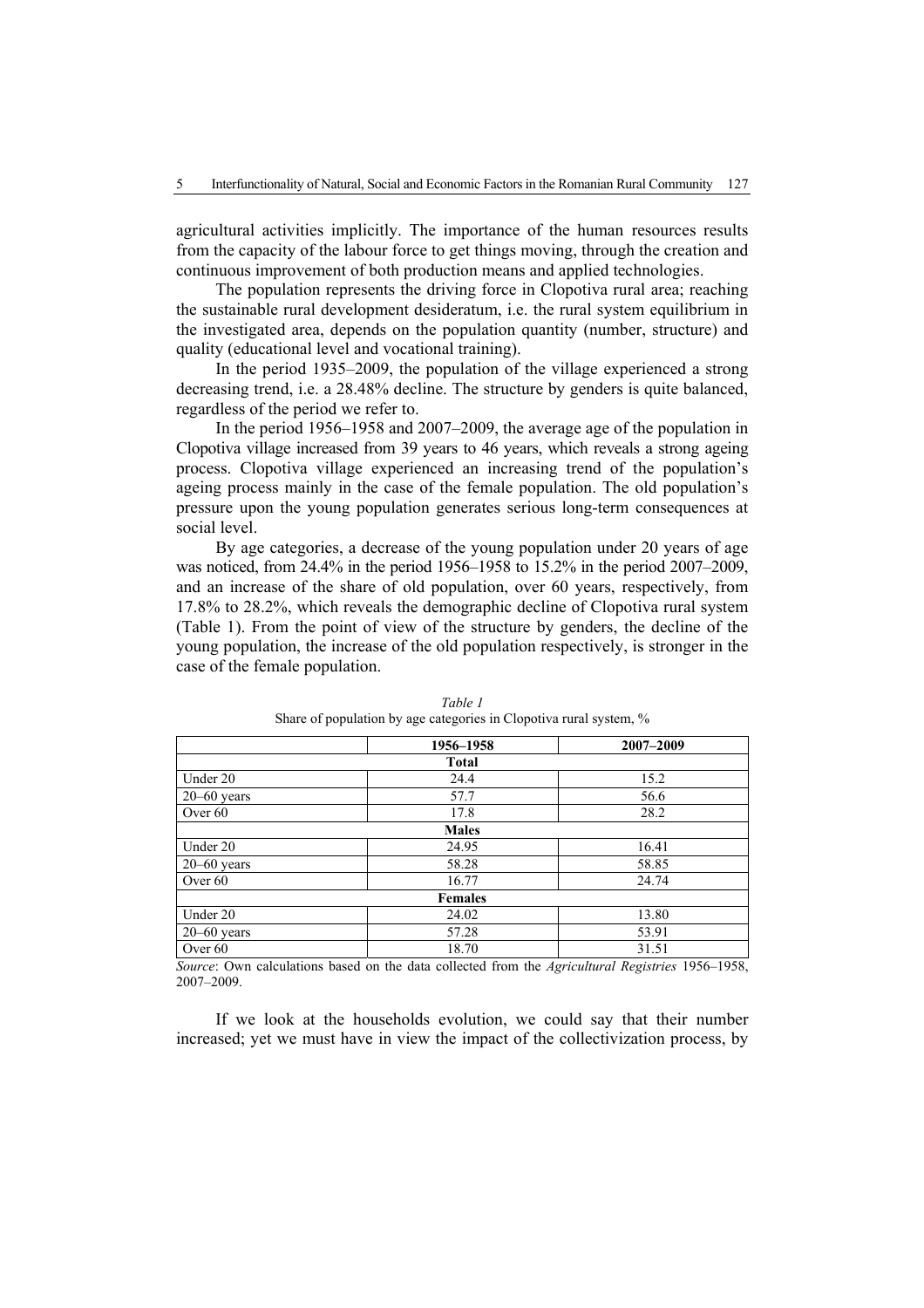agricultural activities implicitly. The importance of the human resources results from the capacity of the labour force to get things moving, through the creation and continuous improvement of both production means and applied technologies.

The population represents the driving force in Clopotiva rural area; reaching the sustainable rural development desideratum, i.e. the rural system equilibrium in the investigated area, depends on the population quantity (number, structure) and quality (educational level and vocational training).

In the period 1935–2009, the population of the village experienced a strong decreasing trend, i.e. a 28.48% decline. The structure by genders is quite balanced, regardless of the period we refer to.

In the period 1956–1958 and 2007–2009, the average age of the population in Clopotiva village increased from 39 years to 46 years, which reveals a strong ageing process. Clopotiva village experienced an increasing trend of the population's ageing process mainly in the case of the female population. The old population's pressure upon the young population generates serious long-term consequences at social level.

By age categories, a decrease of the young population under 20 years of age was noticed, from 24.4% in the period 1956–1958 to 15.2% in the period 2007–2009, and an increase of the share of old population, over 60 years, respectively, from 17.8% to 28.2%, which reveals the demographic decline of Clopotiva rural system (Table 1). From the point of view of the structure by genders, the decline of the young population, the increase of the old population respectively, is stronger in the case of the female population.

|                 | 1956-1958      | 2007-2009 |
|-----------------|----------------|-----------|
|                 | <b>Total</b>   |           |
| Under 20        | 24.4           | 15.2      |
| $20 - 60$ years | 57.7           | 56.6      |
| Over 60         | 17.8           | 28.2      |
|                 | <b>Males</b>   |           |
| Under 20        | 24.95          | 16.41     |
| $20 - 60$ years | 58.28          | 58.85     |
| Over 60         | 16.77          | 24.74     |
|                 | <b>Females</b> |           |
| Under 20        | 24.02          | 13.80     |
| $20 - 60$ years | 57.28          | 53.91     |
| Over 60         | 18.70          | 31.51     |

*Table 1*  Share of population by age categories in Clopotiva rural system, %

*Source*: Own calculations based on the data collected from the *Agricultural Registries* 1956–1958, 2007–2009.

If we look at the households evolution, we could say that their number increased; yet we must have in view the impact of the collectivization process, by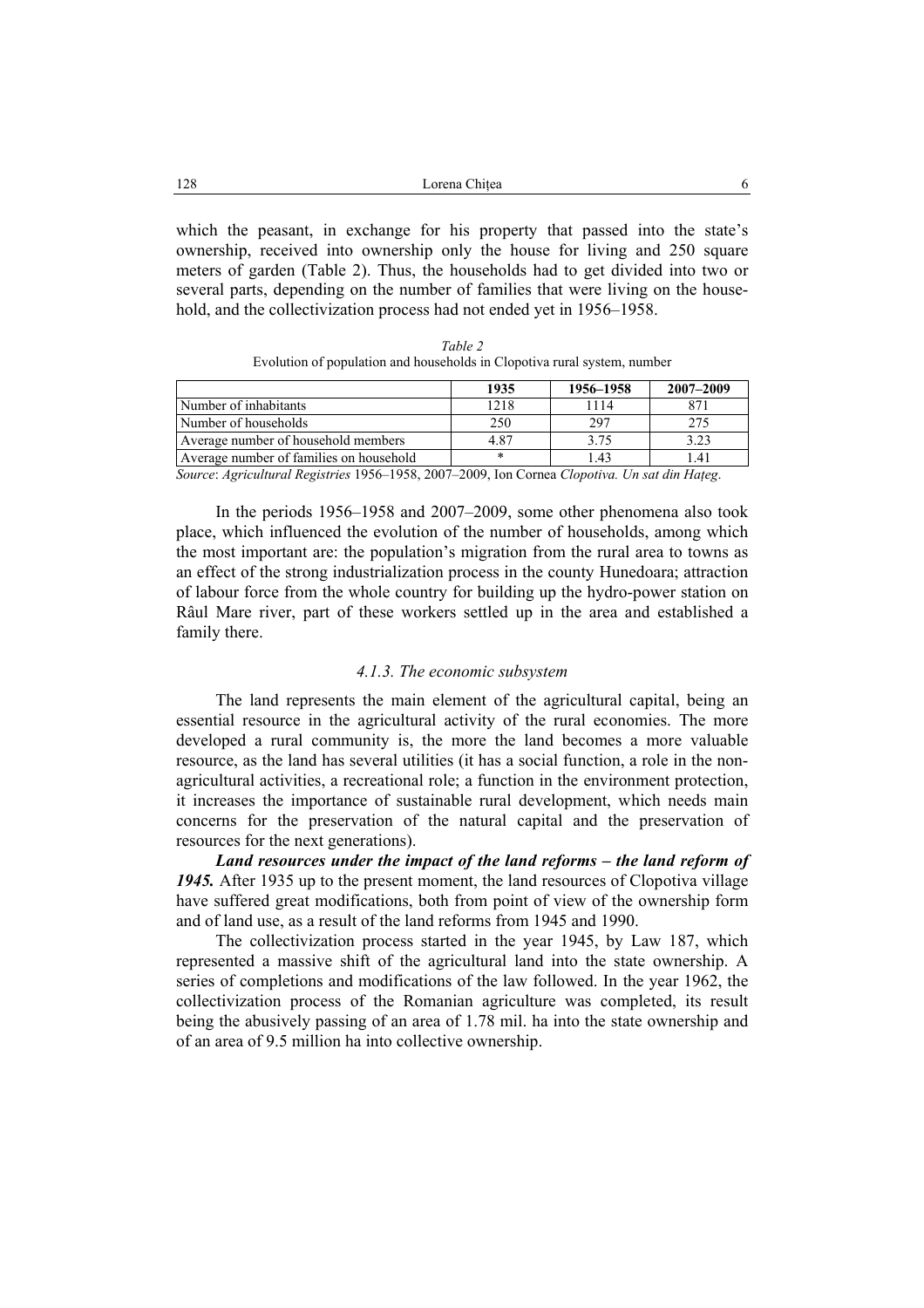| 128<br>Lorena Chitea |  |
|----------------------|--|
|----------------------|--|

which the peasant, in exchange for his property that passed into the state's ownership, received into ownership only the house for living and 250 square meters of garden (Table 2). Thus, the households had to get divided into two or several parts, depending on the number of families that were living on the household, and the collectivization process had not ended yet in 1956–1958.

| Table 2                                                                  |
|--------------------------------------------------------------------------|
| Evolution of population and households in Clopotiva rural system, number |

|                                         | 1935 | 1956–1958 | 2007-2009       |
|-----------------------------------------|------|-----------|-----------------|
| Number of inhabitants                   | 1218 | 1114      | 871             |
| Number of households                    | 250  | 297       | 275             |
| Average number of household members     | 4.87 | 3.75      | 3.23            |
| Average number of families on household | *    | -43       | $^{\prime}$ .4, |

*Source*: *Agricultural Registries* 1956–1958, 2007–2009, Ion Cornea *Clopotiva. Un sat din Haţeg*.

In the periods 1956–1958 and 2007–2009, some other phenomena also took place, which influenced the evolution of the number of households, among which the most important are: the population's migration from the rural area to towns as an effect of the strong industrialization process in the county Hunedoara; attraction of labour force from the whole country for building up the hydro-power station on Râul Mare river, part of these workers settled up in the area and established a family there.

#### *4.1.3. The economic subsystem*

The land represents the main element of the agricultural capital, being an essential resource in the agricultural activity of the rural economies. The more developed a rural community is, the more the land becomes a more valuable resource, as the land has several utilities (it has a social function, a role in the nonagricultural activities, a recreational role; a function in the environment protection, it increases the importance of sustainable rural development, which needs main concerns for the preservation of the natural capital and the preservation of resources for the next generations).

*Land resources under the impact of the land reforms – the land reform of 1945.* After 1935 up to the present moment, the land resources of Clopotiva village have suffered great modifications, both from point of view of the ownership form and of land use, as a result of the land reforms from 1945 and 1990.

The collectivization process started in the year 1945, by Law 187, which represented a massive shift of the agricultural land into the state ownership. A series of completions and modifications of the law followed. In the year 1962, the collectivization process of the Romanian agriculture was completed, its result being the abusively passing of an area of 1.78 mil. ha into the state ownership and of an area of 9.5 million ha into collective ownership.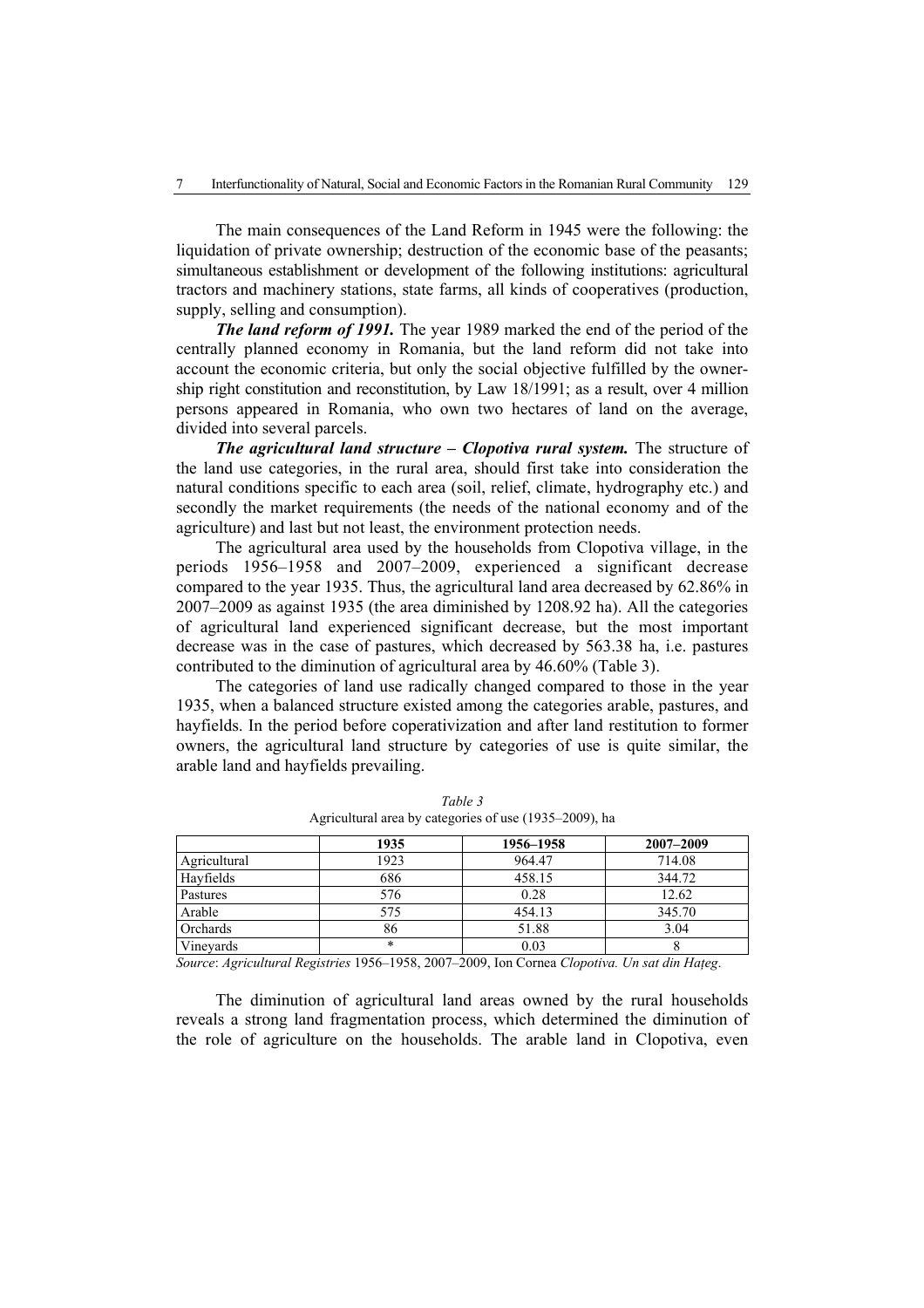The main consequences of the Land Reform in 1945 were the following: the liquidation of private ownership; destruction of the economic base of the peasants; simultaneous establishment or development of the following institutions: agricultural tractors and machinery stations, state farms, all kinds of cooperatives (production, supply, selling and consumption).

*The land reform of 1991.* The year 1989 marked the end of the period of the centrally planned economy in Romania, but the land reform did not take into account the economic criteria, but only the social objective fulfilled by the ownership right constitution and reconstitution, by Law 18/1991; as a result, over 4 million persons appeared in Romania, who own two hectares of land on the average, divided into several parcels.

*The agricultural land structure – Clopotiva rural system.* The structure of the land use categories, in the rural area, should first take into consideration the natural conditions specific to each area (soil, relief, climate, hydrography etc.) and secondly the market requirements (the needs of the national economy and of the agriculture) and last but not least, the environment protection needs.

The agricultural area used by the households from Clopotiva village, in the periods 1956–1958 and 2007–2009, experienced a significant decrease compared to the year 1935. Thus, the agricultural land area decreased by 62.86% in 2007–2009 as against 1935 (the area diminished by 1208.92 ha). All the categories of agricultural land experienced significant decrease, but the most important decrease was in the case of pastures, which decreased by 563.38 ha, i.e. pastures contributed to the diminution of agricultural area by 46.60% (Table 3).

The categories of land use radically changed compared to those in the year 1935, when a balanced structure existed among the categories arable, pastures, and hayfields. In the period before coperativization and after land restitution to former owners, the agricultural land structure by categories of use is quite similar, the arable land and hayfields prevailing.

|              | 1935   | 1956–1958 | $2007 - 2009$ |
|--------------|--------|-----------|---------------|
| Agricultural | 1923   | 964.47    | 714.08        |
| Hayfields    | 686    | 458.15    | 344.72        |
| Pastures     | 576    | 0.28      | 12.62         |
| Arable       | 575    | 454.13    | 345.70        |
| Orchards     | 86     | 51.88     | 3.04          |
| Vineyards    | $\ast$ | 0.03      |               |

*Table 3*  Agricultural area by categories of use (1935–2009), ha

*Source*: *Agricultural Registries* 1956–1958, 2007–2009, Ion Cornea *Clopotiva. Un sat din Haţeg*.

The diminution of agricultural land areas owned by the rural households reveals a strong land fragmentation process, which determined the diminution of the role of agriculture on the households. The arable land in Clopotiva, even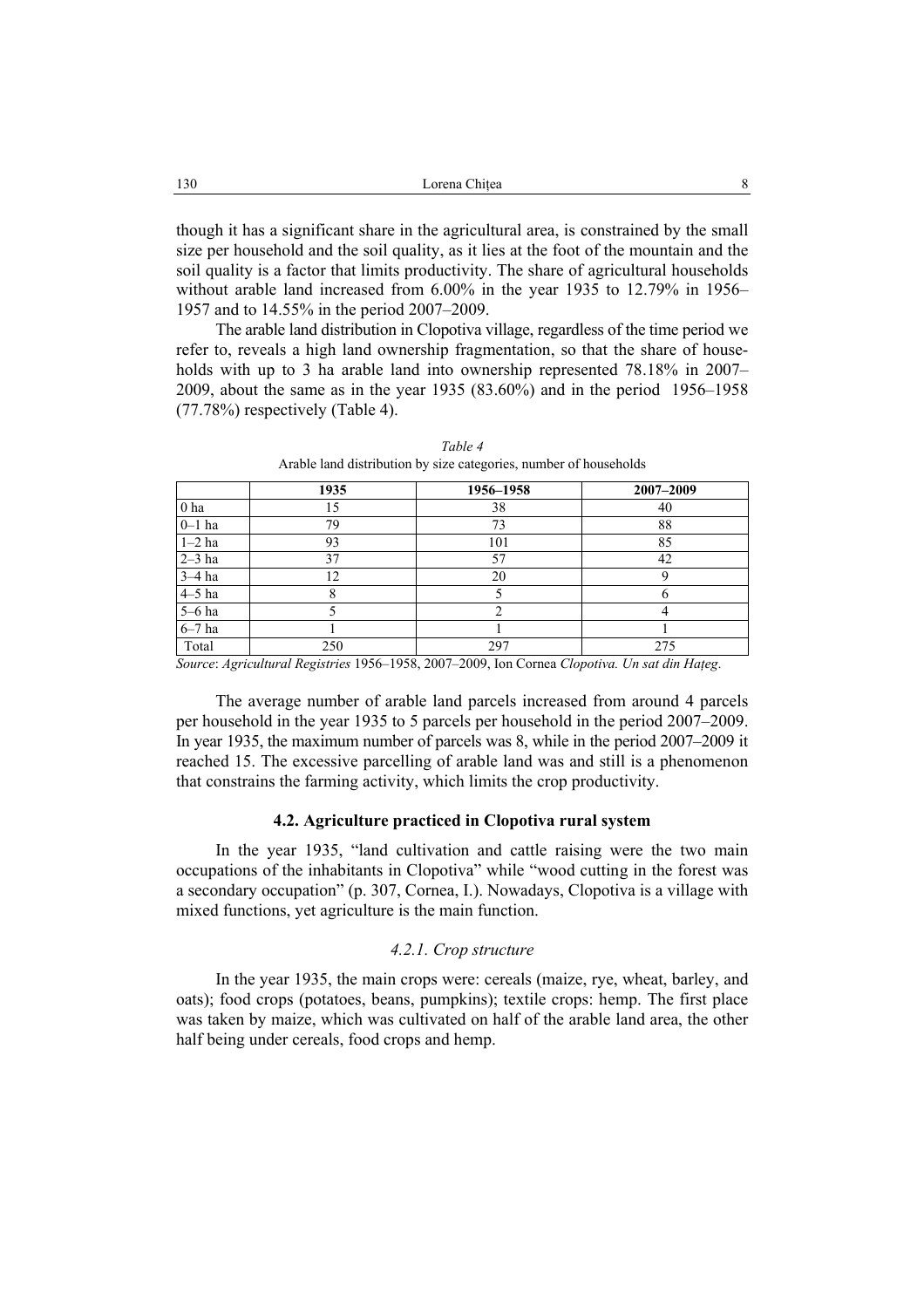though it has a significant share in the agricultural area, is constrained by the small size per household and the soil quality, as it lies at the foot of the mountain and the soil quality is a factor that limits productivity. The share of agricultural households without arable land increased from 6.00% in the year 1935 to 12.79% in 1956– 1957 and to 14.55% in the period 2007–2009.

The arable land distribution in Clopotiva village, regardless of the time period we refer to, reveals a high land ownership fragmentation, so that the share of households with up to 3 ha arable land into ownership represented 78.18% in 2007– 2009, about the same as in the year 1935 (83.60%) and in the period 1956–1958 (77.78%) respectively (Table 4).

|                 | 1935                                                                                                                          | 1956-1958 | 2007-2009 |
|-----------------|-------------------------------------------------------------------------------------------------------------------------------|-----------|-----------|
| 0 <sub>ha</sub> | 15                                                                                                                            | 38        | 40        |
| $0-1$ ha        | 79                                                                                                                            | 73        | 88        |
| $1-2$ ha        | 93                                                                                                                            | 101       | 85        |
| $2-3$ ha        | 37                                                                                                                            | 57        | 42        |
| $3-4$ ha        | 12                                                                                                                            | 20        |           |
| $4-5$ ha        |                                                                                                                               |           |           |
| $5-6$ ha        |                                                                                                                               |           |           |
| $6-7$ ha        |                                                                                                                               |           |           |
| Total           | 250<br>$\alpha$ , $\alpha$ , $\alpha$ , $\alpha$ , $\alpha$ , $\alpha$ , $\alpha$ , $\alpha$ , $\alpha$ , $\alpha$ , $\alpha$ | 297       | 275       |

*Table 4*  Arable land distribution by size categories, number of households

*Source*: *Agricultural Registries* 1956–1958, 2007–2009, Ion Cornea *Clopotiva. Un sat din Haţeg*.

The average number of arable land parcels increased from around 4 parcels per household in the year 1935 to 5 parcels per household in the period 2007–2009. In year 1935, the maximum number of parcels was 8, while in the period 2007–2009 it reached 15. The excessive parcelling of arable land was and still is a phenomenon that constrains the farming activity, which limits the crop productivity.

## **4.2. Agriculture practiced in Clopotiva rural system**

In the year 1935, "land cultivation and cattle raising were the two main occupations of the inhabitants in Clopotiva" while "wood cutting in the forest was a secondary occupation" (p. 307, Cornea, I.). Nowadays, Clopotiva is a village with mixed functions, yet agriculture is the main function.

#### *4.2.1. Crop structure*

In the year 1935, the main crops were: cereals (maize, rye, wheat, barley, and oats); food crops (potatoes, beans, pumpkins); textile crops: hemp. The first place was taken by maize, which was cultivated on half of the arable land area, the other half being under cereals, food crops and hemp.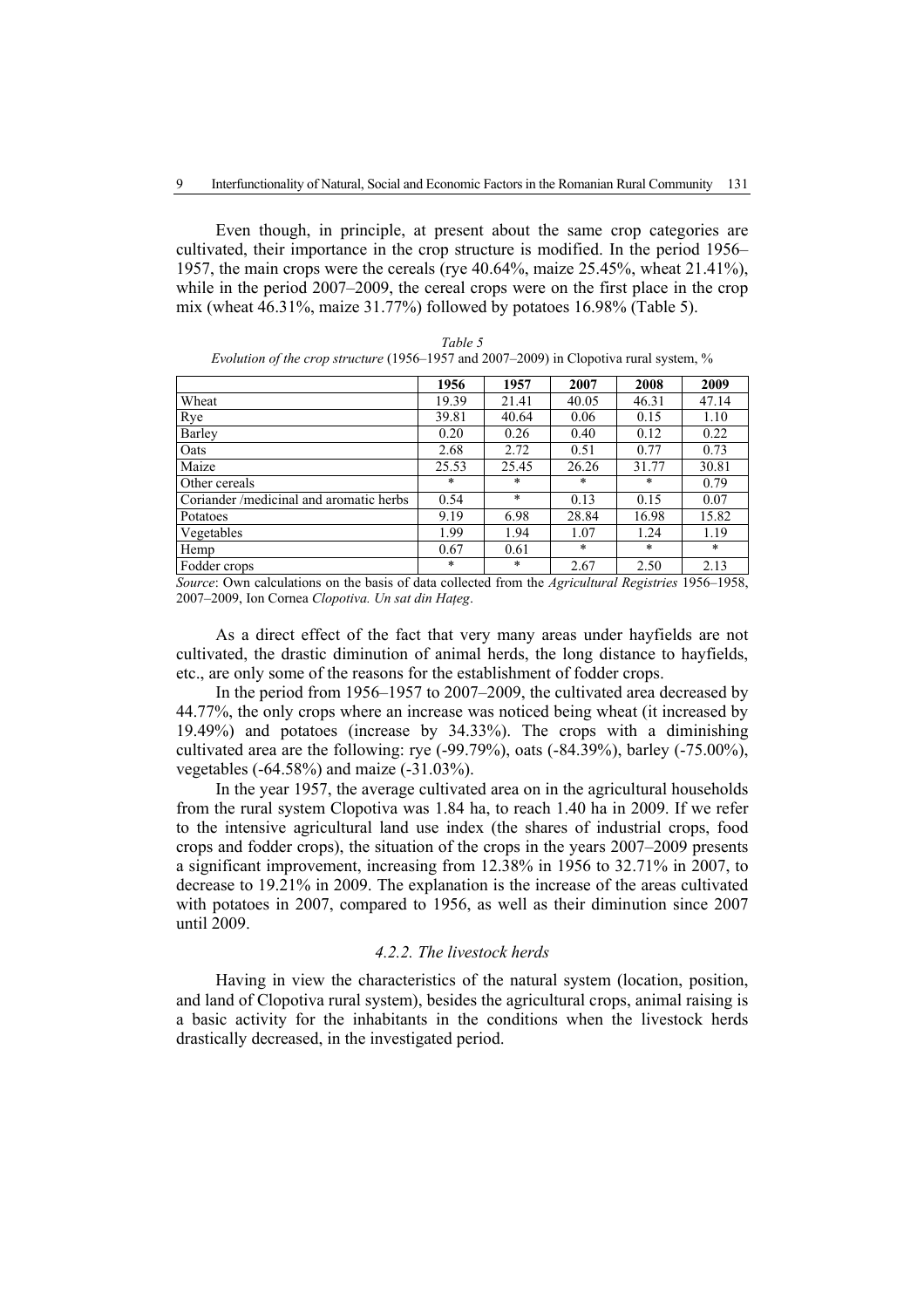Even though, in principle, at present about the same crop categories are cultivated, their importance in the crop structure is modified. In the period 1956– 1957, the main crops were the cereals (rye 40.64%, maize 25.45%, wheat 21.41%), while in the period 2007–2009, the cereal crops were on the first place in the crop mix (wheat 46.31%, maize 31.77%) followed by potatoes 16.98% (Table 5).

|                                         | 1956    | 1957    | 2007   | 2008    | 2009   |
|-----------------------------------------|---------|---------|--------|---------|--------|
| Wheat                                   | 19.39   | 21.41   | 40.05  | 46.31   | 47.14  |
| Rye                                     | 39.81   | 40.64   | 0.06   | 0.15    | 1.10   |
| Barley                                  | 0.20    | 0.26    | 0.40   | 0.12    | 0.22   |
| Oats                                    | 2.68    | 2.72    | 0.51   | 0.77    | 0.73   |
| Maize                                   | 25.53   | 25.45   | 26.26  | 31.77   | 30.81  |
| Other cereals                           | $\ast$  | $\star$ | *      | $\star$ | 0.79   |
| Coriander /medicinal and aromatic herbs | 0.54    | $\ast$  | 0.13   | 0.15    | 0.07   |
| Potatoes                                | 9.19    | 6.98    | 28.84  | 16.98   | 15.82  |
| Vegetables                              | 1.99    | 1.94    | 1.07   | 1.24    | 1.19   |
| Hemp                                    | 0.67    | 0.61    | $\ast$ | $\star$ | $\ast$ |
| Fodder crops                            | $\star$ | $\ast$  | 2.67   | 2.50    | 2.13   |

|                                                                                                  | Table 5 |  |
|--------------------------------------------------------------------------------------------------|---------|--|
| <i>Evolution of the crop structure</i> (1956–1957 and 2007–2009) in Clopotiva rural system, $\%$ |         |  |

*Source*: Own calculations on the basis of data collected from the *Agricultural Registries* 1956–1958, 2007–2009, Ion Cornea *Clopotiva. Un sat din Haţeg*.

As a direct effect of the fact that very many areas under hayfields are not cultivated, the drastic diminution of animal herds, the long distance to hayfields, etc., are only some of the reasons for the establishment of fodder crops.

In the period from 1956–1957 to 2007–2009, the cultivated area decreased by 44.77%, the only crops where an increase was noticed being wheat (it increased by 19.49%) and potatoes (increase by 34.33%). The crops with a diminishing cultivated area are the following: rye (-99.79%), oats (-84.39%), barley (-75.00%), vegetables (-64.58%) and maize (-31.03%).

In the year 1957, the average cultivated area on in the agricultural households from the rural system Clopotiva was 1.84 ha, to reach 1.40 ha in 2009. If we refer to the intensive agricultural land use index (the shares of industrial crops, food crops and fodder crops), the situation of the crops in the years 2007–2009 presents a significant improvement, increasing from 12.38% in 1956 to 32.71% in 2007, to decrease to 19.21% in 2009. The explanation is the increase of the areas cultivated with potatoes in 2007, compared to 1956, as well as their diminution since 2007 until 2009.

## *4.2.2. The livestock herds*

Having in view the characteristics of the natural system (location, position, and land of Clopotiva rural system), besides the agricultural crops, animal raising is a basic activity for the inhabitants in the conditions when the livestock herds drastically decreased, in the investigated period.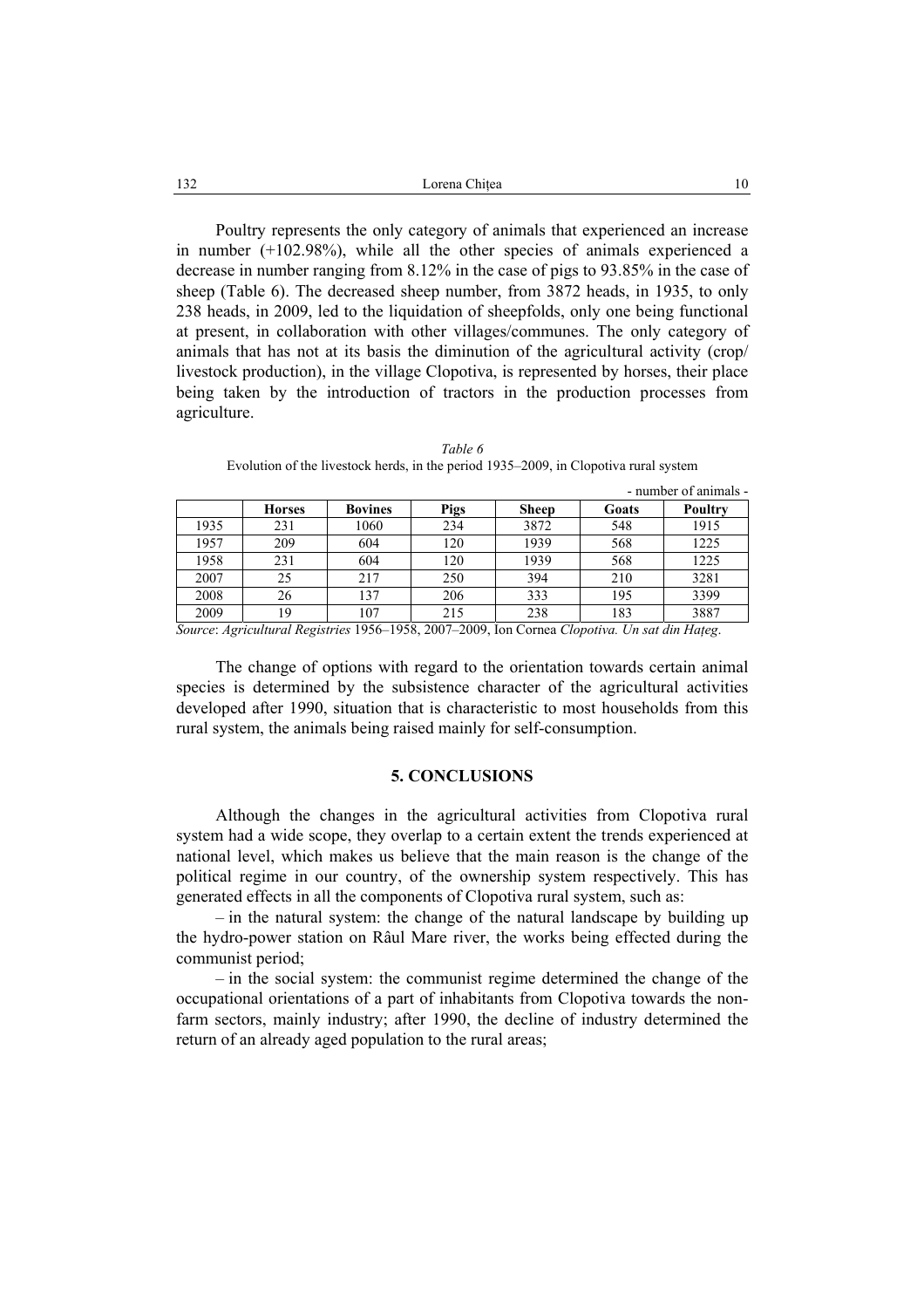| 132 | Lorena Chitea |  |
|-----|---------------|--|
|     |               |  |

Poultry represents the only category of animals that experienced an increase in number (+102.98%), while all the other species of animals experienced a decrease in number ranging from 8.12% in the case of pigs to 93.85% in the case of sheep (Table 6). The decreased sheep number, from 3872 heads, in 1935, to only 238 heads, in 2009, led to the liquidation of sheepfolds, only one being functional at present, in collaboration with other villages/communes. The only category of animals that has not at its basis the diminution of the agricultural activity (crop/ livestock production), in the village Clopotiva, is represented by horses, their place being taken by the introduction of tractors in the production processes from agriculture.

|      |               |                |      |              |       | - number of animals - |
|------|---------------|----------------|------|--------------|-------|-----------------------|
|      | <b>Horses</b> | <b>Bovines</b> | Pigs | <b>Sheep</b> | Goats | Poultry               |
| 1935 | 231           | 1060           | 234  | 3872         | 548   | 1915                  |
| 1957 | 209           | 604            | 120  | 1939         | 568   | 1225                  |
| 1958 | 231           | 604            | 120  | 1939         | 568   | 1225                  |
| 2007 | 25            | 217            | 250  | 394          | 210   | 3281                  |
| 2008 | 26            | 137            | 206  | 333          | 195   | 3399                  |
| 2009 | 19            | 107            | 215  | 238          | 183   | 3887                  |

*Table 6*  Evolution of the livestock herds, in the period 1935–2009, in Clopotiva rural system

*Source*: *Agricultural Registries* 1956–1958, 2007–2009, Ion Cornea *Clopotiva. Un sat din Haţeg*.

The change of options with regard to the orientation towards certain animal species is determined by the subsistence character of the agricultural activities developed after 1990, situation that is characteristic to most households from this rural system, the animals being raised mainly for self-consumption.

#### **5. CONCLUSIONS**

Although the changes in the agricultural activities from Clopotiva rural system had a wide scope, they overlap to a certain extent the trends experienced at national level, which makes us believe that the main reason is the change of the political regime in our country, of the ownership system respectively. This has generated effects in all the components of Clopotiva rural system, such as:

– in the natural system: the change of the natural landscape by building up the hydro-power station on Râul Mare river, the works being effected during the communist period;

– in the social system: the communist regime determined the change of the occupational orientations of a part of inhabitants from Clopotiva towards the nonfarm sectors, mainly industry; after 1990, the decline of industry determined the return of an already aged population to the rural areas;